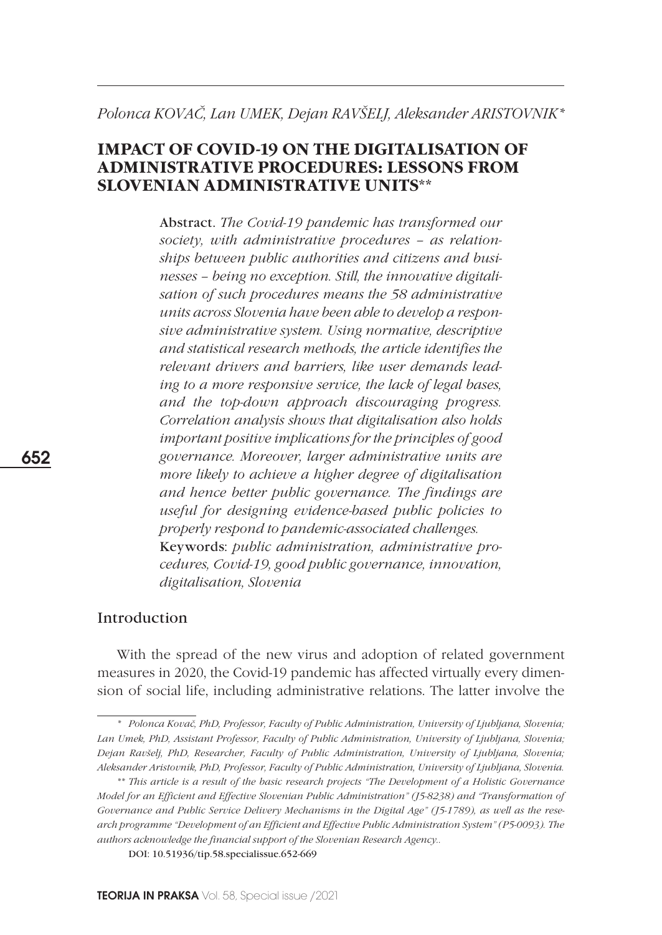# *Polonca KOVAČ, Lan UMEK, Dejan RAVŠELJ, Aleksander ARISTOVNIK\**

# **IMPACT OF COVID-19 ON THE DIGITALISATION OF ADMINISTRATIVE PROCEDURES: LESSONS FROM SLOVENIAN ADMINISTRATIVE UNITS\*\***

Abstract. *The Covid-19 pandemic has transformed our society, with administrative procedures – as relationships between public authorities and citizens and businesses – being no exception. Still, the innovative digitalisation of such procedures means the 58 administrative units across Slovenia have been able to develop a responsive administrative system. Using normative, descriptive and statistical research methods, the article identifies the relevant drivers and barriers, like user demands leading to a more responsive service, the lack of legal bases, and the top-down approach discouraging progress. Correlation analysis shows that digitalisation also holds important positive implications for the principles of good governance. Moreover, larger administrative units are more likely to achieve a higher degree of digitalisation and hence better public governance. The findings are useful for designing evidence-based public policies to properly respond to pandemic-associated challenges.*  Keywords: *public administration, administrative procedures, Covid-19, good public governance, innovation, digitalisation, Slovenia*

## Introduction

With the spread of the new virus and adoption of related government measures in 2020, the Covid-19 pandemic has affected virtually every dimension of social life, including administrative relations. The latter involve the

*<sup>\*</sup> Polonca Kovač, PhD, Professor, Faculty of Public Administration, University of Ljubljana, Slovenia; Lan Umek, PhD, Assistant Professor, Faculty of Public Administration, University of Ljubljana, Slovenia; Dejan Ravšelj, PhD, Researcher, Faculty of Public Administration, University of Ljubljana, Slovenia; Aleksander Aristovnik, PhD, Professor, Faculty of Public Administration, University of Ljubljana, Slovenia.*

*<sup>\*\*</sup> This article is a result of the basic research projects "The Development of a Holistic Governance Model for an Efficient and Effective Slovenian Public Administration" (J5-8238) and "Transformation of Governance and Public Service Delivery Mechanisms in the Digital Age" (J5-1789), as well as the research programme "Development of an Efficient and Effective Public Administration System" (P5-0093). The authors acknowledge the financial support of the Slovenian Research Agency..*

DOI: 10.51936/tip.58.specialissue.652-669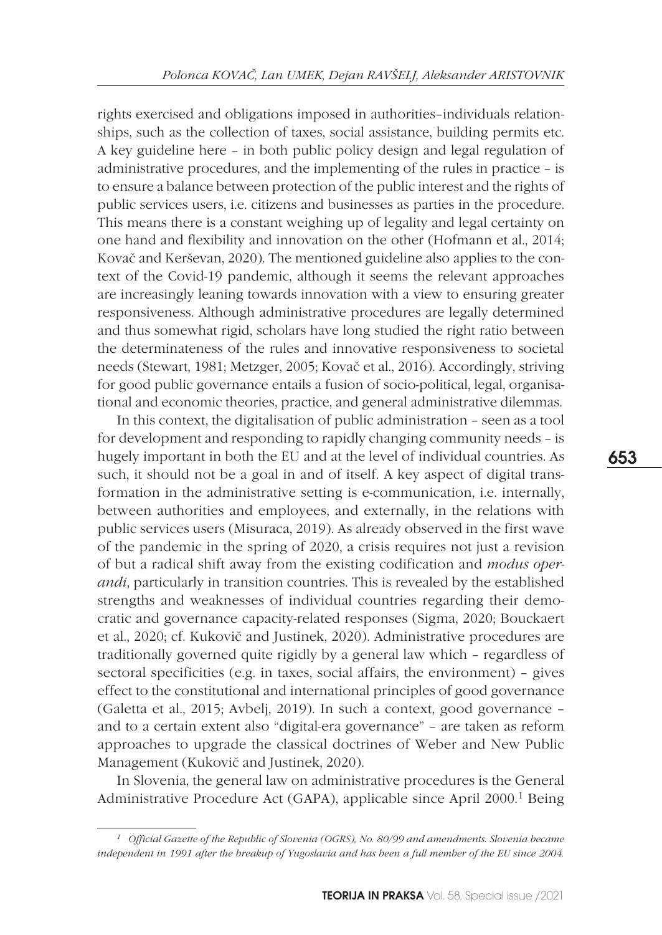rights exercised and obligations imposed in authorities–individuals relationships, such as the collection of taxes, social assistance, building permits etc. A key guideline here – in both public policy design and legal regulation of administrative procedures, and the implementing of the rules in practice – is to ensure a balance between protection of the public interest and the rights of public services users, i.e. citizens and businesses as parties in the procedure. This means there is a constant weighing up of legality and legal certainty on one hand and flexibility and innovation on the other (Hofmann et al., 2014; Kovač and Kerševan, 2020). The mentioned guideline also applies to the context of the Covid-19 pandemic, although it seems the relevant approaches are increasingly leaning towards innovation with a view to ensuring greater responsiveness. Although administrative procedures are legally determined and thus somewhat rigid, scholars have long studied the right ratio between the determinateness of the rules and innovative responsiveness to societal needs (Stewart, 1981; Metzger, 2005; Kovač et al., 2016). Accordingly, striving for good public governance entails a fusion of socio-political, legal, organisational and economic theories, practice, and general administrative dilemmas.

In this context, the digitalisation of public administration – seen as a tool for development and responding to rapidly changing community needs – is hugely important in both the EU and at the level of individual countries. As such, it should not be a goal in and of itself. A key aspect of digital transformation in the administrative setting is e-communication, i.e. internally, between authorities and employees, and externally, in the relations with public services users (Misuraca, 2019). As already observed in the first wave of the pandemic in the spring of 2020, a crisis requires not just a revision of but a radical shift away from the existing codification and *modus operandi*, particularly in transition countries. This is revealed by the established strengths and weaknesses of individual countries regarding their democratic and governance capacity-related responses (Sigma, 2020; Bouckaert et al., 2020; cf. Kukovič and Justinek, 2020). Administrative procedures are traditionally governed quite rigidly by a general law which – regardless of sectoral specificities (e.g. in taxes, social affairs, the environment) – gives effect to the constitutional and international principles of good governance (Galetta et al., 2015; Avbelj, 2019). In such a context, good governance – and to a certain extent also "digital-era governance" – are taken as reform approaches to upgrade the classical doctrines of Weber and New Public Management (Kukovič and Justinek, 2020).

In Slovenia, the general law on administrative procedures is the General Administrative Procedure Act (GAPA), applicable since April 2000.<sup>1</sup> Being

*<sup>1</sup> Official Gazette of the Republic of Slovenia (OGRS), No. 80/99 and amendments. Slovenia became independent in 1991 after the breakup of Yugoslavia and has been a full member of the EU since 2004.*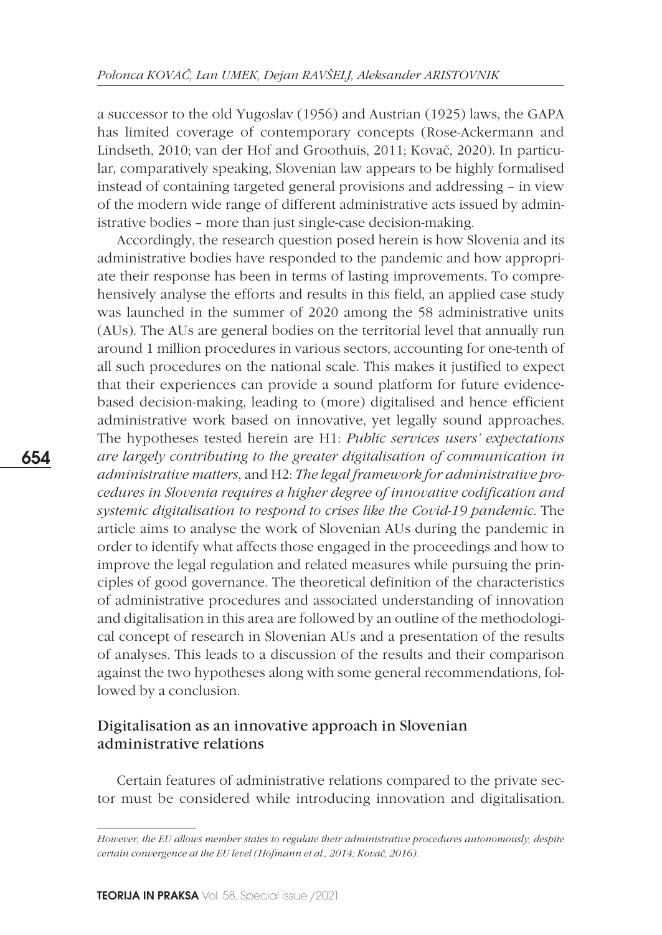a successor to the old Yugoslav (1956) and Austrian (1925) laws, the GAPA has limited coverage of contemporary concepts (Rose-Ackermann and Lindseth, 2010; van der Hof and Groothuis, 2011; Kovač, 2020). In particular, comparatively speaking, Slovenian law appears to be highly formalised instead of containing targeted general provisions and addressing – in view of the modern wide range of different administrative acts issued by administrative bodies – more than just single-case decision-making.

Accordingly, the research question posed herein is how Slovenia and its administrative bodies have responded to the pandemic and how appropriate their response has been in terms of lasting improvements. To comprehensively analyse the efforts and results in this field, an applied case study was launched in the summer of 2020 among the 58 administrative units (AUs). The AUs are general bodies on the territorial level that annually run around 1 million procedures in various sectors, accounting for one-tenth of all such procedures on the national scale. This makes it justified to expect that their experiences can provide a sound platform for future evidencebased decision-making, leading to (more) digitalised and hence efficient administrative work based on innovative, yet legally sound approaches. The hypotheses tested herein are H1: *Public services users' expectations are largely contributing to the greater digitalisation of communication in administrative matters*, and H2: *The legal framework for administrative procedures in Slovenia requires a higher degree of innovative codification and systemic digitalisation to respond to crises like the Covid-19 pandemic*. The article aims to analyse the work of Slovenian AUs during the pandemic in order to identify what affects those engaged in the proceedings and how to improve the legal regulation and related measures while pursuing the principles of good governance. The theoretical definition of the characteristics of administrative procedures and associated understanding of innovation and digitalisation in this area are followed by an outline of the methodological concept of research in Slovenian AUs and a presentation of the results of analyses. This leads to a discussion of the results and their comparison against the two hypotheses along with some general recommendations, followed by a conclusion.

### Digitalisation as an innovative approach in Slovenian administrative relations

Certain features of administrative relations compared to the private sector must be considered while introducing innovation and digitalisation.

*However, the EU allows member states to regulate their administrative procedures autonomously, despite certain convergence at the EU level (Hofmann et al., 2014; Kovač, 2016).*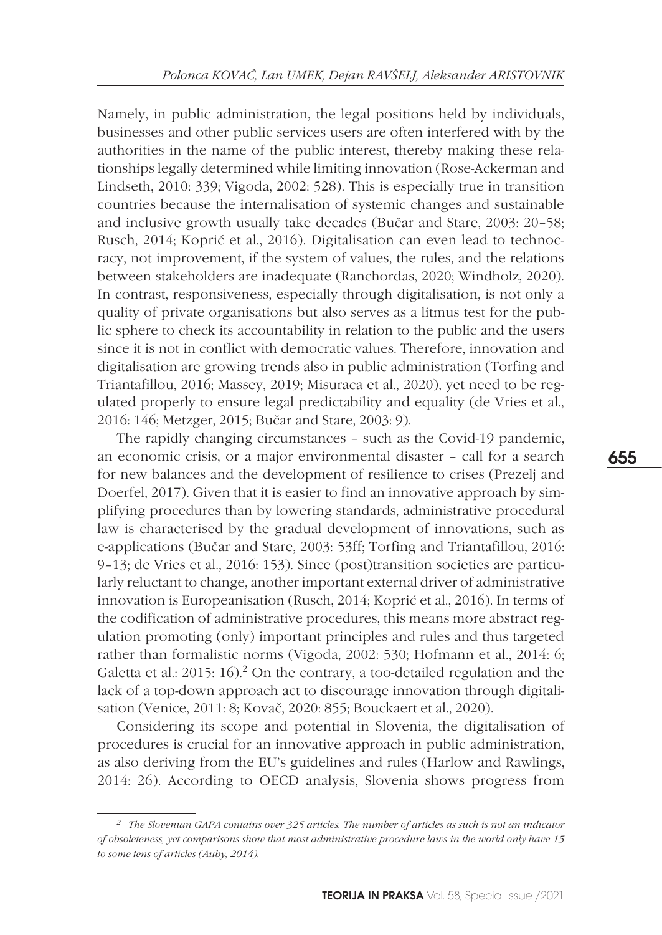Namely, in public administration, the legal positions held by individuals, businesses and other public services users are often interfered with by the authorities in the name of the public interest, thereby making these relationships legally determined while limiting innovation (Rose-Ackerman and Lindseth, 2010: 339; Vigoda, 2002: 528). This is especially true in transition countries because the internalisation of systemic changes and sustainable and inclusive growth usually take decades (Bučar and Stare, 2003: 20–58; Rusch, 2014; Koprić et al., 2016). Digitalisation can even lead to technocracy, not improvement, if the system of values, the rules, and the relations between stakeholders are inadequate (Ranchordas, 2020; Windholz, 2020). In contrast, responsiveness, especially through digitalisation, is not only a quality of private organisations but also serves as a litmus test for the public sphere to check its accountability in relation to the public and the users since it is not in conflict with democratic values. Therefore, innovation and digitalisation are growing trends also in public administration (Torfing and Triantafillou, 2016; Massey, 2019; Misuraca et al., 2020), yet need to be regulated properly to ensure legal predictability and equality (de Vries et al., 2016: 146; Metzger, 2015; Bučar and Stare, 2003: 9).

The rapidly changing circumstances – such as the Covid-19 pandemic, an economic crisis, or a major environmental disaster – call for a search for new balances and the development of resilience to crises (Prezelj and Doerfel, 2017). Given that it is easier to find an innovative approach by simplifying procedures than by lowering standards, administrative procedural law is characterised by the gradual development of innovations, such as e-applications (Bučar and Stare, 2003: 53ff; Torfing and Triantafillou, 2016: 9–13; de Vries et al., 2016: 153). Since (post)transition societies are particularly reluctant to change, another important external driver of administrative innovation is Europeanisation (Rusch, 2014; Koprić et al., 2016). In terms of the codification of administrative procedures, this means more abstract regulation promoting (only) important principles and rules and thus targeted rather than formalistic norms (Vigoda, 2002: 530; Hofmann et al., 2014: 6; Galetta et al.: 2015: 16).<sup>2</sup> On the contrary, a too-detailed regulation and the lack of a top-down approach act to discourage innovation through digitalisation (Venice, 2011: 8; Kovač, 2020: 855; Bouckaert et al., 2020).

Considering its scope and potential in Slovenia, the digitalisation of procedures is crucial for an innovative approach in public administration, as also deriving from the EU's guidelines and rules (Harlow and Rawlings, 2014: 26). According to OECD analysis, Slovenia shows progress from

*<sup>2</sup> The Slovenian GAPA contains over 325 articles. The number of articles as such is not an indicator of obsoleteness, yet comparisons show that most administrative procedure laws in the world only have 15 to some tens of articles (Auby, 2014).*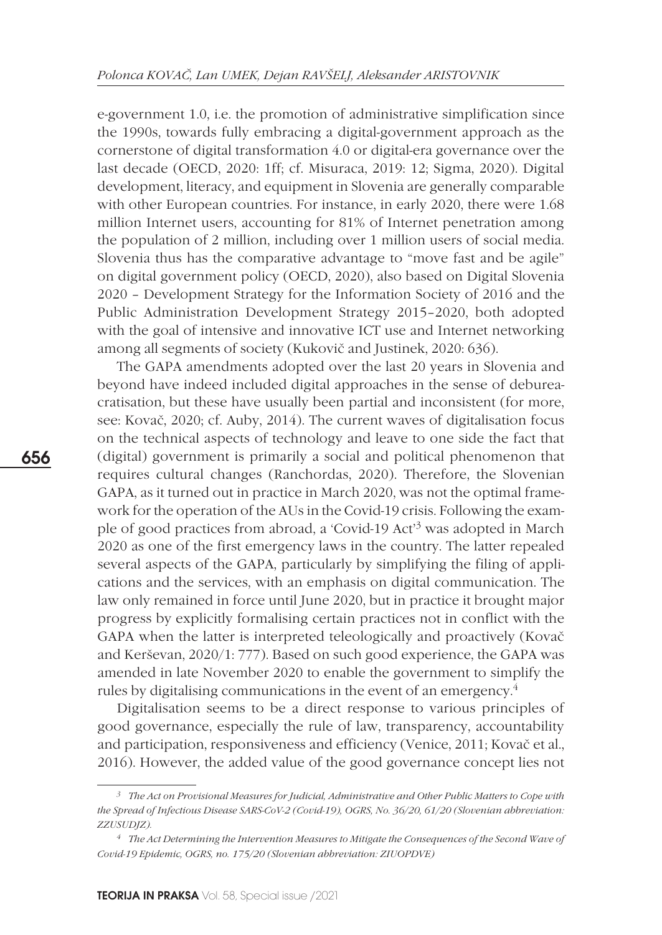e-government 1.0, i.e. the promotion of administrative simplification since the 1990s, towards fully embracing a digital-government approach as the cornerstone of digital transformation 4.0 or digital-era governance over the last decade (OECD, 2020: 1ff; cf. Misuraca, 2019: 12; Sigma, 2020). Digital development, literacy, and equipment in Slovenia are generally comparable with other European countries. For instance, in early 2020, there were 1.68 million Internet users, accounting for 81% of Internet penetration among the population of 2 million, including over 1 million users of social media. Slovenia thus has the comparative advantage to "move fast and be agile" on digital government policy (OECD, 2020), also based on Digital Slovenia 2020 – Development Strategy for the Information Society of 2016 and the Public Administration Development Strategy 2015–2020, both adopted with the goal of intensive and innovative ICT use and Internet networking among all segments of society (Kukovič and Justinek, 2020: 636).

The GAPA amendments adopted over the last 20 years in Slovenia and beyond have indeed included digital approaches in the sense of debureacratisation, but these have usually been partial and inconsistent (for more, see: Kovač, 2020; cf. Auby, 2014). The current waves of digitalisation focus on the technical aspects of technology and leave to one side the fact that (digital) government is primarily a social and political phenomenon that requires cultural changes (Ranchordas, 2020). Therefore, the Slovenian GAPA, as it turned out in practice in March 2020, was not the optimal framework for the operation of the AUs in the Covid-19 crisis. Following the example of good practices from abroad, a 'Covid-19 Act'3 was adopted in March 2020 as one of the first emergency laws in the country. The latter repealed several aspects of the GAPA, particularly by simplifying the filing of applications and the services, with an emphasis on digital communication. The law only remained in force until June 2020, but in practice it brought major progress by explicitly formalising certain practices not in conflict with the GAPA when the latter is interpreted teleologically and proactively (Kovač and Kerševan, 2020/1: 777). Based on such good experience, the GAPA was amended in late November 2020 to enable the government to simplify the rules by digitalising communications in the event of an emergency.4

Digitalisation seems to be a direct response to various principles of good governance, especially the rule of law, transparency, accountability and participation, responsiveness and efficiency (Venice, 2011; Kovač et al., 2016). However, the added value of the good governance concept lies not

*<sup>3</sup> The Act on Provisional Measures for Judicial, Administrative and Other Public Matters to Cope with the Spread of Infectious Disease SARS-CoV-2 (Covid-19), OGRS, No. 36/20, 61/20 (Slovenian abbreviation: ZZUSUDJZ).*

*<sup>4</sup> The Act Determining the Intervention Measures to Mitigate the Consequences of the Second Wave of Covid-19 Epidemic, OGRS, no. 175/20 (Slovenian abbreviation: ZIUOPDVE)*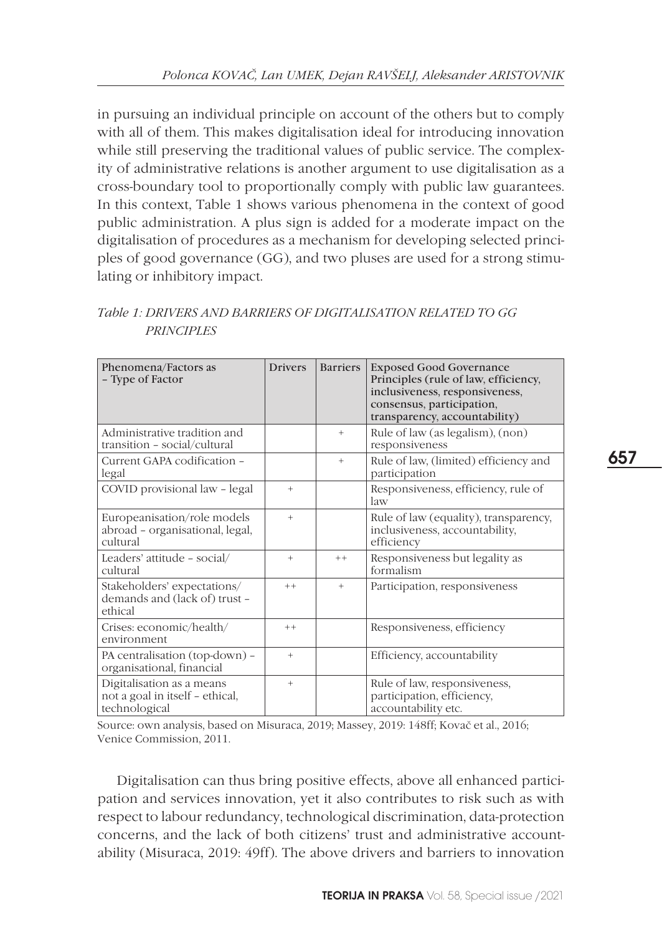in pursuing an individual principle on account of the others but to comply with all of them. This makes digitalisation ideal for introducing innovation while still preserving the traditional values of public service. The complexity of administrative relations is another argument to use digitalisation as a cross-boundary tool to proportionally comply with public law guarantees. In this context, Table 1 shows various phenomena in the context of good public administration. A plus sign is added for a moderate impact on the digitalisation of procedures as a mechanism for developing selected principles of good governance (GG), and two pluses are used for a strong stimulating or inhibitory impact.

| Phenomena/Factors as<br>- Type of Factor                                      | <b>Drivers</b> | <b>Barriers</b> | <b>Exposed Good Governance</b><br>Principles (rule of law, efficiency,<br>inclusiveness, responsiveness,<br>consensus, participation,<br>transparency, accountability) |
|-------------------------------------------------------------------------------|----------------|-----------------|------------------------------------------------------------------------------------------------------------------------------------------------------------------------|
| Administrative tradition and<br>transition - social/cultural                  |                | $^{+}$          | Rule of law (as legalism), (non)<br>responsiveness                                                                                                                     |
| Current GAPA codification -<br>legal                                          |                | $+$             | Rule of law, (limited) efficiency and<br>participation                                                                                                                 |
| COVID provisional law - legal                                                 | $^{+}$         |                 | Responsiveness, efficiency, rule of<br>$\frac{1}{2}$                                                                                                                   |
| Europeanisation/role models<br>abroad - organisational, legal,<br>cultural    | $^{+}$         |                 | Rule of law (equality), transparency,<br>inclusiveness, accountability,<br>efficiency                                                                                  |
| Leaders' attitude - social/<br>cultural                                       | $^{+}$         | $++$            | Responsiveness but legality as<br>formalism                                                                                                                            |
| Stakeholders' expectations/<br>demands and (lack of) trust -<br>ethical       | $++$           | $^{+}$          | Participation, responsiveness                                                                                                                                          |
| Crises: economic/health/<br>environment                                       | $++$           |                 | Responsiveness, efficiency                                                                                                                                             |
| PA centralisation (top-down) -<br>organisational, financial                   | $^{+}$         |                 | Efficiency, accountability                                                                                                                                             |
| Digitalisation as a means<br>not a goal in itself - ethical,<br>technological | $^{+}$         |                 | Rule of law, responsiveness,<br>participation, efficiency,<br>accountability etc.                                                                                      |

*Table 1: DRIVERS AND BARRIERS OF DIGITALISATION RELATED TO GG PRINCIPLES* 

Source: own analysis, based on Misuraca, 2019; Massey, 2019: 148ff; Kovač et al., 2016; Venice Commission, 2011.

Digitalisation can thus bring positive effects, above all enhanced participation and services innovation, yet it also contributes to risk such as with respect to labour redundancy, technological discrimination, data-protection concerns, and the lack of both citizens' trust and administrative accountability (Misuraca, 2019: 49ff). The above drivers and barriers to innovation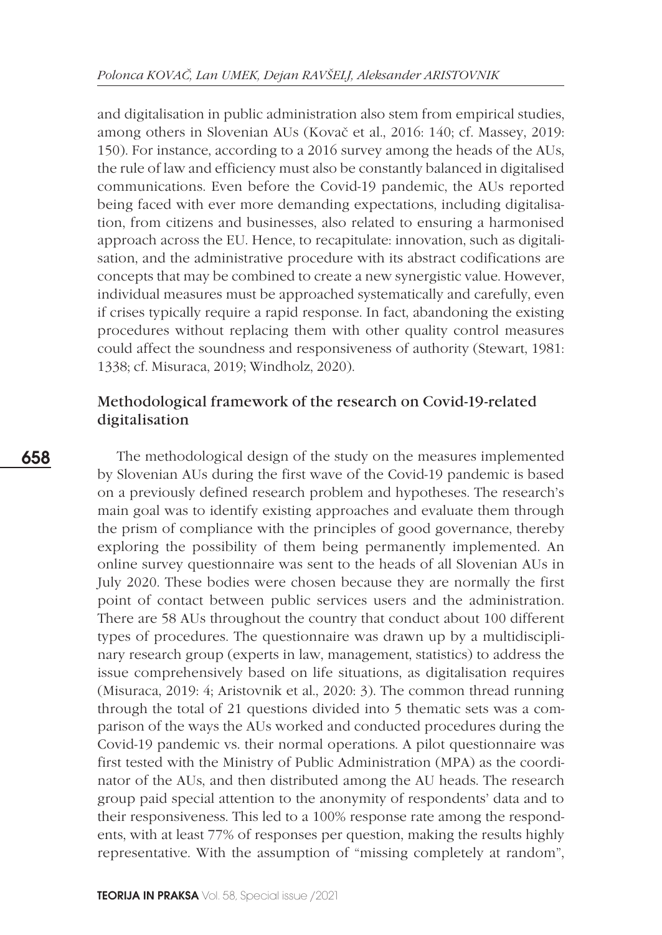and digitalisation in public administration also stem from empirical studies, among others in Slovenian AUs (Kovač et al., 2016: 140; cf. Massey, 2019: 150). For instance, according to a 2016 survey among the heads of the AUs, the rule of law and efficiency must also be constantly balanced in digitalised communications. Even before the Covid-19 pandemic, the AUs reported being faced with ever more demanding expectations, including digitalisation, from citizens and businesses, also related to ensuring a harmonised approach across the EU. Hence, to recapitulate: innovation, such as digitalisation, and the administrative procedure with its abstract codifications are concepts that may be combined to create a new synergistic value. However, individual measures must be approached systematically and carefully, even if crises typically require a rapid response. In fact, abandoning the existing procedures without replacing them with other quality control measures could affect the soundness and responsiveness of authority (Stewart, 1981: 1338; cf. Misuraca, 2019; Windholz, 2020).

# Methodological framework of the research on Covid-19-related digitalisation

The methodological design of the study on the measures implemented by Slovenian AUs during the first wave of the Covid-19 pandemic is based on a previously defined research problem and hypotheses. The research's main goal was to identify existing approaches and evaluate them through the prism of compliance with the principles of good governance, thereby exploring the possibility of them being permanently implemented. An online survey questionnaire was sent to the heads of all Slovenian AUs in July 2020. These bodies were chosen because they are normally the first point of contact between public services users and the administration. There are 58 AUs throughout the country that conduct about 100 different types of procedures. The questionnaire was drawn up by a multidisciplinary research group (experts in law, management, statistics) to address the issue comprehensively based on life situations, as digitalisation requires (Misuraca, 2019: 4; Aristovnik et al., 2020: 3). The common thread running through the total of 21 questions divided into 5 thematic sets was a comparison of the ways the AUs worked and conducted procedures during the Covid-19 pandemic vs. their normal operations. A pilot questionnaire was first tested with the Ministry of Public Administration (MPA) as the coordinator of the AUs, and then distributed among the AU heads. The research group paid special attention to the anonymity of respondents' data and to their responsiveness. This led to a 100% response rate among the respondents, with at least 77% of responses per question, making the results highly representative. With the assumption of "missing completely at random",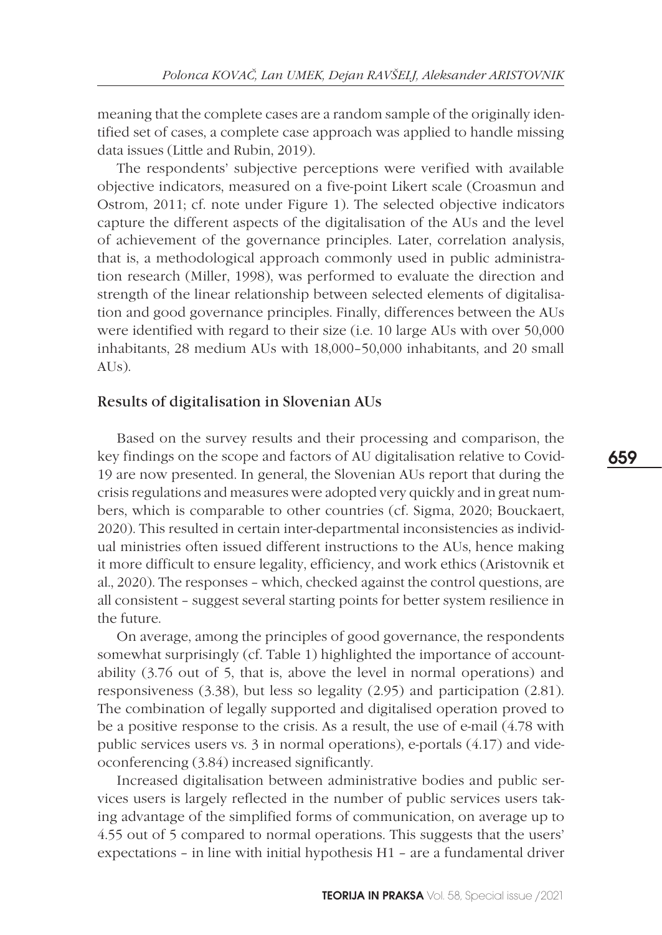meaning that the complete cases are a random sample of the originally identified set of cases, a complete case approach was applied to handle missing data issues (Little and Rubin, 2019).

The respondents' subjective perceptions were verified with available objective indicators, measured on a five-point Likert scale (Croasmun and Ostrom, 2011; cf. note under Figure 1). The selected objective indicators capture the different aspects of the digitalisation of the AUs and the level of achievement of the governance principles. Later, correlation analysis, that is, a methodological approach commonly used in public administration research (Miller, 1998), was performed to evaluate the direction and strength of the linear relationship between selected elements of digitalisation and good governance principles. Finally, differences between the AUs were identified with regard to their size (i.e. 10 large AUs with over 50,000 inhabitants, 28 medium AUs with 18,000–50,000 inhabitants, and 20 small  $AI(s)$ .

### Results of digitalisation in Slovenian AUs

Based on the survey results and their processing and comparison, the key findings on the scope and factors of AU digitalisation relative to Covid-19 are now presented. In general, the Slovenian AUs report that during the crisis regulations and measures were adopted very quickly and in great numbers, which is comparable to other countries (cf. Sigma, 2020; Bouckaert, 2020). This resulted in certain inter-departmental inconsistencies as individual ministries often issued different instructions to the AUs, hence making it more difficult to ensure legality, efficiency, and work ethics (Aristovnik et al., 2020). The responses – which, checked against the control questions, are all consistent – suggest several starting points for better system resilience in the future.

On average, among the principles of good governance, the respondents somewhat surprisingly (cf. Table 1) highlighted the importance of accountability (3.76 out of 5, that is, above the level in normal operations) and responsiveness (3.38), but less so legality (2.95) and participation (2.81). The combination of legally supported and digitalised operation proved to be a positive response to the crisis. As a result, the use of e-mail (4.78 with public services users vs. 3 in normal operations), e-portals (4.17) and videoconferencing (3.84) increased significantly.

Increased digitalisation between administrative bodies and public services users is largely reflected in the number of public services users taking advantage of the simplified forms of communication, on average up to 4.55 out of 5 compared to normal operations. This suggests that the users' expectations – in line with initial hypothesis H1 – are a fundamental driver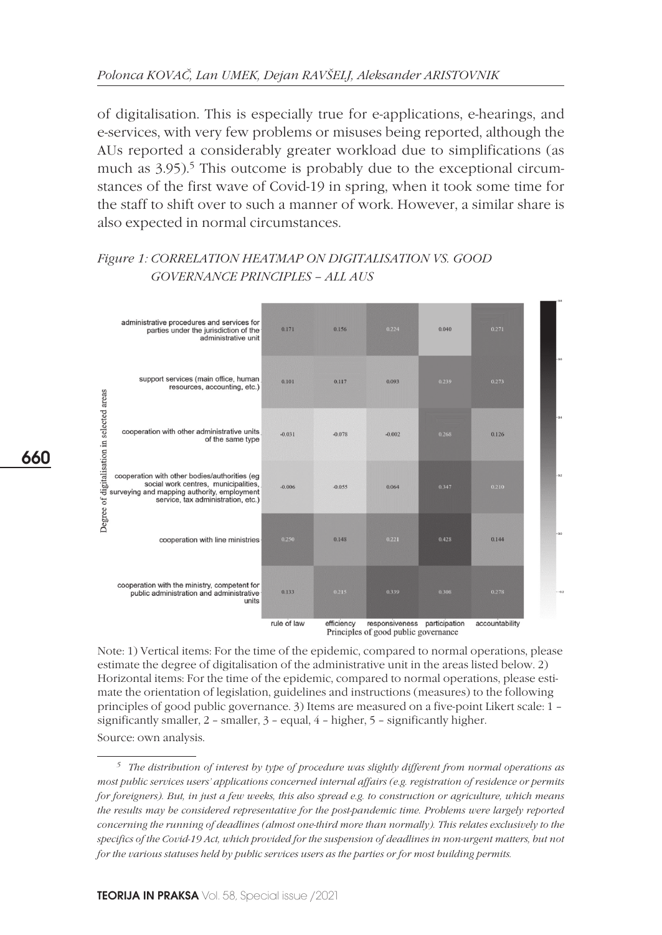of digitalisation. This is especially true for e-applications, e-hearings, and e-services, with very few problems or misuses being reported, although the AUs reported a considerably greater workload due to simplifications (as much as  $3.95$ ).<sup>5</sup> This outcome is probably due to the exceptional circumstances of the first wave of Covid-19 in spring, when it took some time for the staff to shift over to such a manner of work. However, a similar share is also expected in normal circumstances.

## *Figure 1: Correlation heatmap on digitalisation vS. good governance principles – all aUs*



Note: 1) Vertical items: For the time of the epidemic, compared to normal operations, please estimate the degree of digitalisation of the administrative unit in the areas listed below. 2) Horizontal items: For the time of the epidemic, compared to normal operations, please estimate the orientation of legislation, guidelines and instructions (measures) to the following principles of good public governance. 3) Items are measured on a five-point Likert scale: 1 – significantly smaller, 2 – smaller, 3 – equal, 4 – higher, 5 – significantly higher. Source: own analysis.

*<sup>5</sup> The distribution of interest by type of procedure was slightly different from normal operations as most public services users' applications concerned internal affairs (e.g. registration of residence or permits for foreigners). But, in just a few weeks, this also spread e.g. to construction or agriculture, which means the results may be considered representative for the post-pandemic time. Problems were largely reported concerning the running of deadlines (almost one-third more than normally). This relates exclusively to the specifics of the Covid-19 Act, which provided for the suspension of deadlines in non-urgent matters, but not for the various statuses held by public services users as the parties or for most building permits.*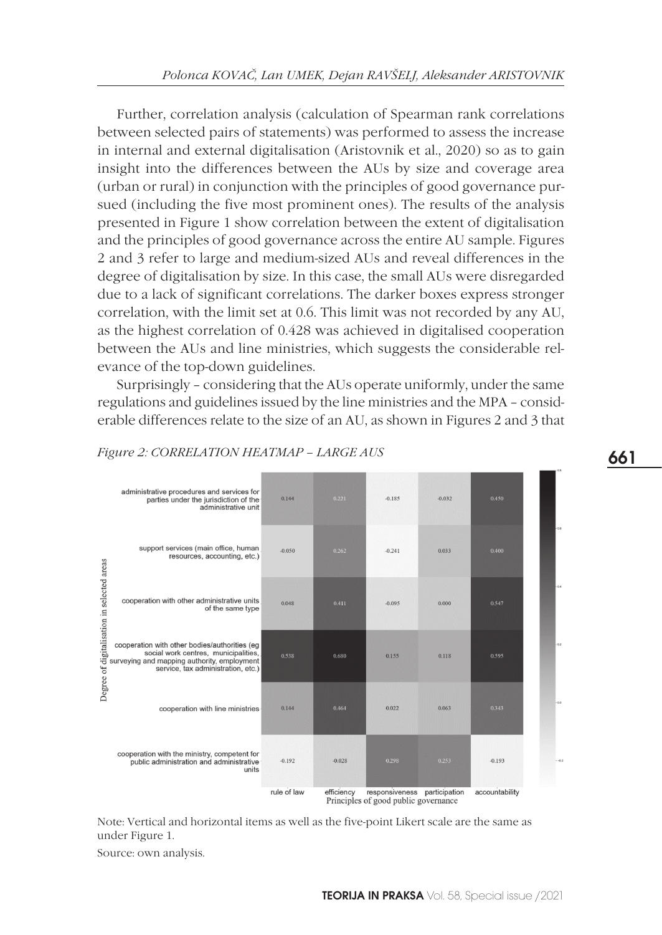Further, correlation analysis (calculation of Spearman rank correlations between selected pairs of statements) was performed to assess the increase in internal and external digitalisation (Aristovnik et al., 2020) so as to gain insight into the differences between the AUs by size and coverage area (urban or rural) in conjunction with the principles of good governance pursued (including the five most prominent ones). The results of the analysis presented in Figure 1 show correlation between the extent of digitalisation and the principles of good governance across the entire AU sample. Figures 2 and 3 refer to large and medium-sized AUs and reveal differences in the degree of digitalisation by size. In this case, the small AUs were disregarded due to a lack of significant correlations. The darker boxes express stronger correlation, with the limit set at 0.6. This limit was not recorded by any AU, as the highest correlation of 0.428 was achieved in digitalised cooperation between the AUs and line ministries, which suggests the considerable relevance of the top-down guidelines.

Surprisingly – considering that the AUs operate uniformly, under the same regulations and guidelines issued by the line ministries and the MPA – considerable differences relate to the size of an AU, as shown in Figures 2 and 3 that



#### *Figure 2: Correlation heatmap – LARGE aUs*

Note: Vertical and horizontal items as well as the five-point Likert scale are the same as under Figure 1.

Source: own analysis.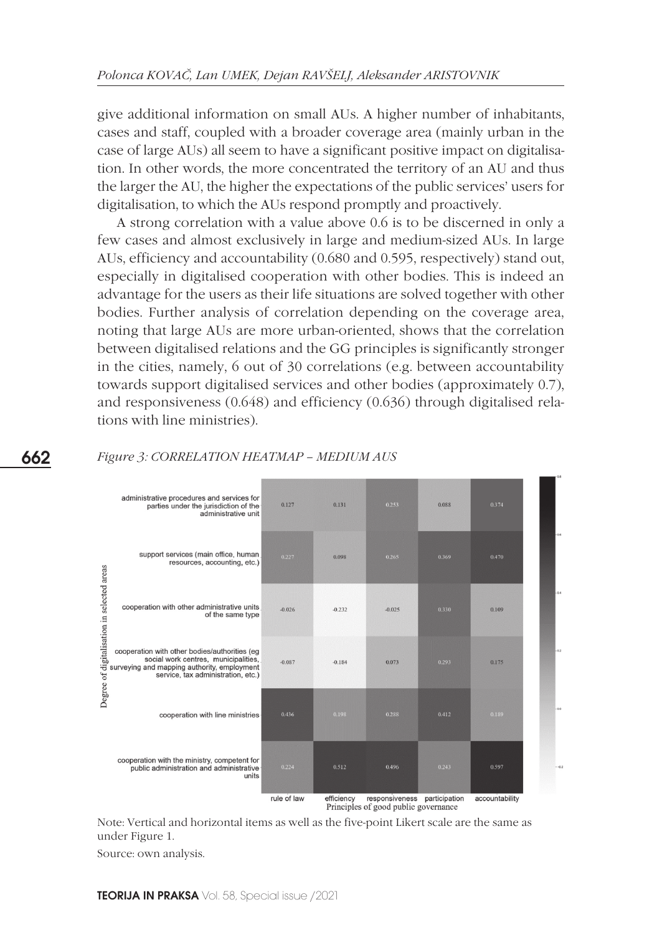give additional information on small AUs. A higher number of inhabitants, cases and staff, coupled with a broader coverage area (mainly urban in the case of large AUs) all seem to have a significant positive impact on digitalisation. In other words, the more concentrated the territory of an AU and thus the larger the AU, the higher the expectations of the public services' users for digitalisation, to which the AUs respond promptly and proactively.

A strong correlation with a value above 0.6 is to be discerned in only a few cases and almost exclusively in large and medium-sized AUs. In large AUs, efficiency and accountability (0.680 and 0.595, respectively) stand out, especially in digitalised cooperation with other bodies. This is indeed an advantage for the users as their life situations are solved together with other bodies. Further analysis of correlation depending on the coverage area, noting that large AUs are more urban-oriented, shows that the correlation between digitalised relations and the GG principles is significantly stronger in the cities, namely, 6 out of 30 correlations (e.g. between accountability towards support digitalised services and other bodies (approximately 0.7), and responsiveness (0.648) and efficiency (0.636) through digitalised relations with line ministries).



### *Figure 3: Correlation heatmap – MEDIUM aUs*

Note: Vertical and horizontal items as well as the five-point Likert scale are the same as under Figure 1.

Source: own analysis.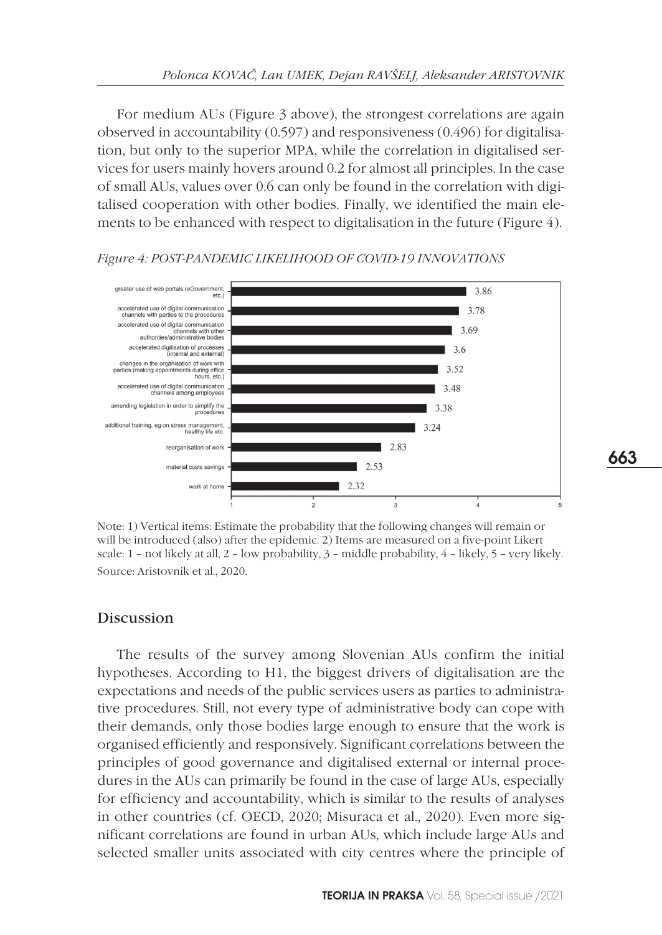For medium AUs (Figure 3 above), the strongest correlations are again observed in accountability (0.597) and responsiveness (0.496) for digitalisation, but only to the superior MPA, while the correlation in digitalised services for users mainly hovers around 0.2 for almost all principles. In the case of small AUs, values over 0.6 can only be found in the correlation with digitalised cooperation with other bodies. Finally, we identified the main elements to be enhanced with respect to digitalisation in the future (Figure 4).

#### greater use of web portals (eGovernment,<br>etc.) 3.86 accelerated use of digital communication<br>channels with parties to the procedures 3.78 accelerated use of digital communication 3.69 channels with other<br>authorities/administrative bodies accelerated digitisation of processes 3.6 (internal and external) changes in the organisation of work with<br>parties (making appointments during office<br>hours, etc.) 3.52 accelerated use of digital communication<br>channels among employees 3.48 amending legislation in order to simplify the 3.38 procedures additional training, eg on stress management<br>healthy life etc 3.24 2.83 reorganisation of work  $\blacksquare$  2.53 material costs savings 2.32 work at home

#### *Figure 4: POST-pandemic LiKELIHOOD of covid-19 INNOVATIONS*

Note: 1) Vertical items: Estimate the probability that the following changes will remain or will be introduced (also) after the epidemic. 2) Items are measured on a five-point Likert scale: 1 – not likely at all, 2 – low probability, 3 – middle probability, 4 – likely, 5 – very likely. Source: Aristovnik et al., 2020.

### Discussion

The results of the survey among Slovenian AUs confirm the initial hypotheses. According to H1, the biggest drivers of digitalisation are the expectations and needs of the public services users as parties to administrative procedures. Still, not every type of administrative body can cope with their demands, only those bodies large enough to ensure that the work is organised efficiently and responsively. Significant correlations between the principles of good governance and digitalised external or internal procedures in the AUs can primarily be found in the case of large AUs, especially for efficiency and accountability, which is similar to the results of analyses in other countries (cf. OECD, 2020; Misuraca et al., 2020). Even more significant correlations are found in urban AUs, which include large AUs and selected smaller units associated with city centres where the principle of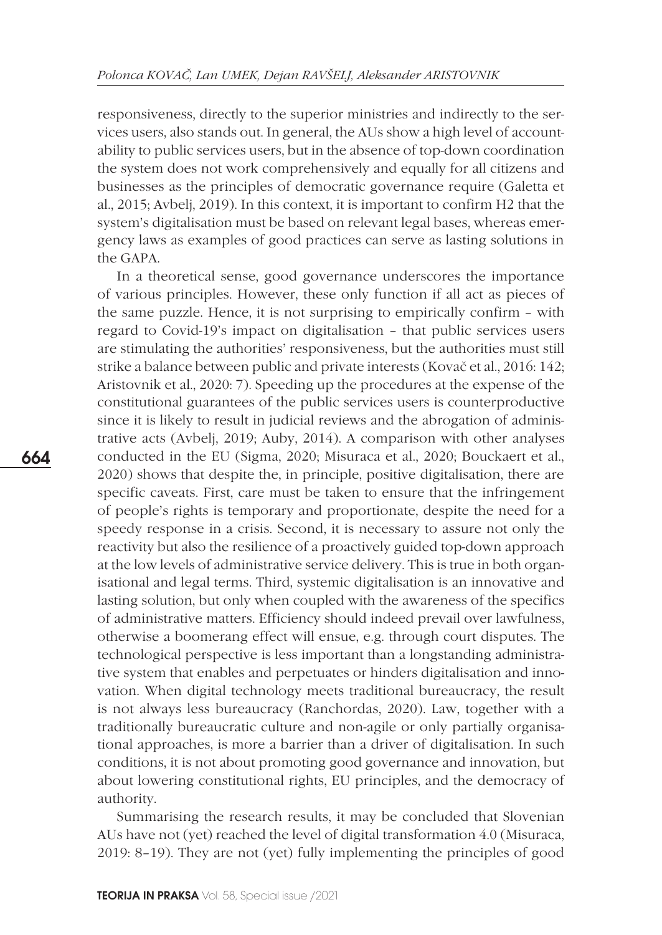responsiveness, directly to the superior ministries and indirectly to the services users, also stands out. In general, the AUs show a high level of accountability to public services users, but in the absence of top-down coordination the system does not work comprehensively and equally for all citizens and businesses as the principles of democratic governance require (Galetta et al., 2015; Avbelj, 2019). In this context, it is important to confirm H2 that the system's digitalisation must be based on relevant legal bases, whereas emergency laws as examples of good practices can serve as lasting solutions in the GAPA.

In a theoretical sense, good governance underscores the importance of various principles. However, these only function if all act as pieces of the same puzzle. Hence, it is not surprising to empirically confirm – with regard to Covid-19's impact on digitalisation – that public services users are stimulating the authorities' responsiveness, but the authorities must still strike a balance between public and private interests (Kovač et al., 2016: 142; Aristovnik et al., 2020: 7). Speeding up the procedures at the expense of the constitutional guarantees of the public services users is counterproductive since it is likely to result in judicial reviews and the abrogation of administrative acts (Avbelj, 2019; Auby, 2014). A comparison with other analyses conducted in the EU (Sigma, 2020; Misuraca et al., 2020; Bouckaert et al., 2020) shows that despite the, in principle, positive digitalisation, there are specific caveats. First, care must be taken to ensure that the infringement of people's rights is temporary and proportionate, despite the need for a speedy response in a crisis. Second, it is necessary to assure not only the reactivity but also the resilience of a proactively guided top-down approach at the low levels of administrative service delivery. This is true in both organisational and legal terms. Third, systemic digitalisation is an innovative and lasting solution, but only when coupled with the awareness of the specifics of administrative matters. Efficiency should indeed prevail over lawfulness, otherwise a boomerang effect will ensue, e.g. through court disputes. The technological perspective is less important than a longstanding administrative system that enables and perpetuates or hinders digitalisation and innovation. When digital technology meets traditional bureaucracy, the result is not always less bureaucracy (Ranchordas, 2020). Law, together with a traditionally bureaucratic culture and non-agile or only partially organisational approaches, is more a barrier than a driver of digitalisation. In such conditions, it is not about promoting good governance and innovation, but about lowering constitutional rights, EU principles, and the democracy of authority.

Summarising the research results, it may be concluded that Slovenian AUs have not (yet) reached the level of digital transformation 4.0 (Misuraca, 2019: 8–19). They are not (yet) fully implementing the principles of good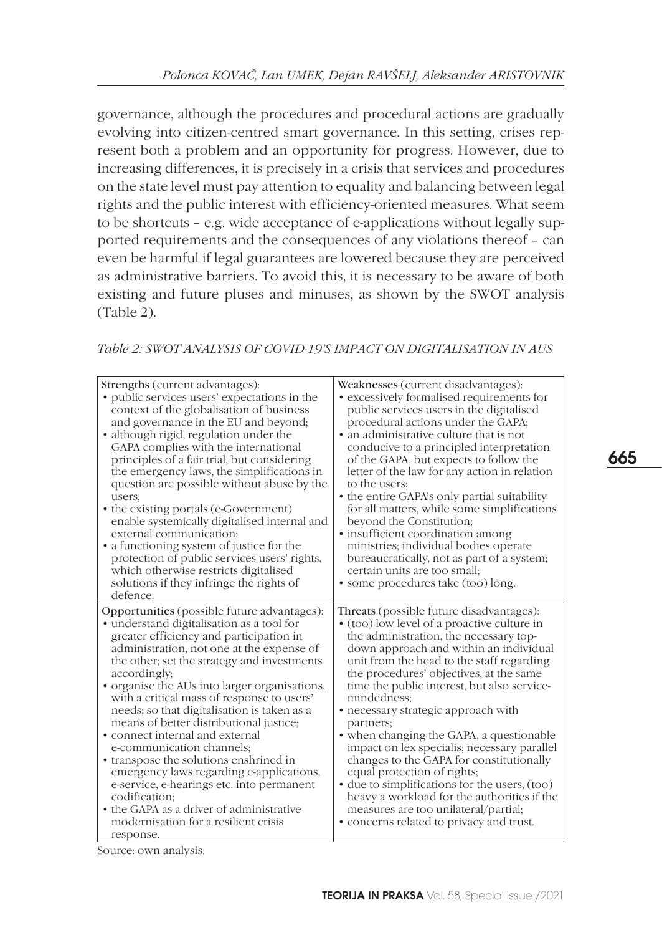governance, although the procedures and procedural actions are gradually evolving into citizen-centred smart governance. In this setting, crises represent both a problem and an opportunity for progress. However, due to increasing differences, it is precisely in a crisis that services and procedures on the state level must pay attention to equality and balancing between legal rights and the public interest with efficiency-oriented measures. What seem to be shortcuts – e.g. wide acceptance of e-applications without legally supported requirements and the consequences of any violations thereof – can even be harmful if legal guarantees are lowered because they are perceived as administrative barriers. To avoid this, it is necessary to be aware of both existing and future pluses and minuses, as shown by the SWOT analysis (Table 2).

*Table 2: SWOT ANALYSIS OF Covid-19'S IMPACT ON DIGITALISATION IN AUs*

| Strengths (current advantages):<br>• public services users' expectations in the<br>context of the globalisation of business<br>and governance in the EU and beyond;<br>• although rigid, regulation under the<br>GAPA complies with the international<br>principles of a fair trial, but considering<br>the emergency laws, the simplifications in<br>question are possible without abuse by the<br>users;<br>• the existing portals (e-Government)<br>enable systemically digitalised internal and<br>external communication;<br>• a functioning system of justice for the<br>protection of public services users' rights,<br>which otherwise restricts digitalised<br>solutions if they infringe the rights of<br>defence.                                  | Weaknesses (current disadvantages):<br>• excessively formalised requirements for<br>public services users in the digitalised<br>procedural actions under the GAPA;<br>• an administrative culture that is not<br>conducive to a principled interpretation<br>of the GAPA, but expects to follow the<br>letter of the law for any action in relation<br>to the users:<br>• the entire GAPA's only partial suitability<br>for all matters, while some simplifications<br>beyond the Constitution;<br>• insufficient coordination among<br>ministries; individual bodies operate<br>bureaucratically, not as part of a system;<br>certain units are too small;<br>• some procedures take (too) long.                                               |
|---------------------------------------------------------------------------------------------------------------------------------------------------------------------------------------------------------------------------------------------------------------------------------------------------------------------------------------------------------------------------------------------------------------------------------------------------------------------------------------------------------------------------------------------------------------------------------------------------------------------------------------------------------------------------------------------------------------------------------------------------------------|-------------------------------------------------------------------------------------------------------------------------------------------------------------------------------------------------------------------------------------------------------------------------------------------------------------------------------------------------------------------------------------------------------------------------------------------------------------------------------------------------------------------------------------------------------------------------------------------------------------------------------------------------------------------------------------------------------------------------------------------------|
| Opportunities (possible future advantages):<br>• understand digitalisation as a tool for<br>greater efficiency and participation in<br>administration, not one at the expense of<br>the other; set the strategy and investments<br>accordingly;<br>• organise the AUs into larger organisations,<br>with a critical mass of response to users'<br>needs; so that digitalisation is taken as a<br>means of better distributional justice;<br>• connect internal and external<br>e-communication channels;<br>• transpose the solutions enshrined in<br>emergency laws regarding e-applications,<br>e-service, e-hearings etc. into permanent<br>codification;<br>• the GAPA as a driver of administrative<br>modernisation for a resilient crisis<br>response. | Threats (possible future disadvantages):<br>• (too) low level of a proactive culture in<br>the administration, the necessary top-<br>down approach and within an individual<br>unit from the head to the staff regarding<br>the procedures' objectives, at the same<br>time the public interest, but also service-<br>mindedness;<br>• necessary strategic approach with<br>partners;<br>• when changing the GAPA, a questionable<br>impact on lex specialis; necessary parallel<br>changes to the GAPA for constitutionally<br>equal protection of rights;<br>• due to simplifications for the users, (too)<br>heavy a workload for the authorities if the<br>measures are too unilateral/partial;<br>• concerns related to privacy and trust. |

Source: own analysis.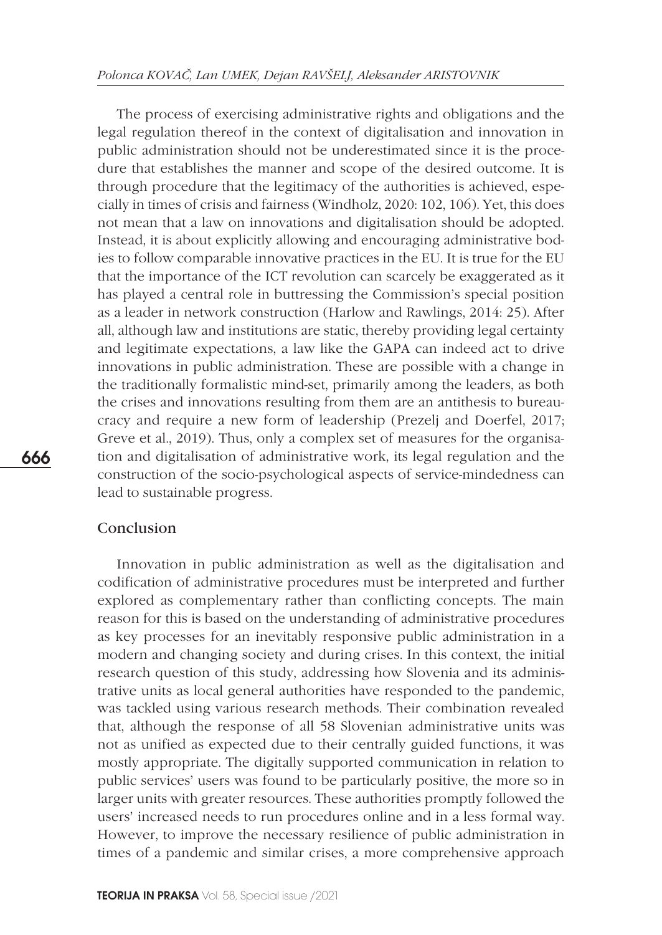The process of exercising administrative rights and obligations and the legal regulation thereof in the context of digitalisation and innovation in public administration should not be underestimated since it is the procedure that establishes the manner and scope of the desired outcome. It is through procedure that the legitimacy of the authorities is achieved, especially in times of crisis and fairness (Windholz, 2020: 102, 106). Yet, this does not mean that a law on innovations and digitalisation should be adopted. Instead, it is about explicitly allowing and encouraging administrative bodies to follow comparable innovative practices in the EU. It is true for the EU that the importance of the ICT revolution can scarcely be exaggerated as it has played a central role in buttressing the Commission's special position as a leader in network construction (Harlow and Rawlings, 2014: 25). After all, although law and institutions are static, thereby providing legal certainty and legitimate expectations, a law like the GAPA can indeed act to drive innovations in public administration. These are possible with a change in the traditionally formalistic mind-set, primarily among the leaders, as both the crises and innovations resulting from them are an antithesis to bureaucracy and require a new form of leadership (Prezelj and Doerfel, 2017; Greve et al., 2019). Thus, only a complex set of measures for the organisation and digitalisation of administrative work, its legal regulation and the construction of the socio-psychological aspects of service-mindedness can lead to sustainable progress.

### Conclusion

Innovation in public administration as well as the digitalisation and codification of administrative procedures must be interpreted and further explored as complementary rather than conflicting concepts. The main reason for this is based on the understanding of administrative procedures as key processes for an inevitably responsive public administration in a modern and changing society and during crises. In this context, the initial research question of this study, addressing how Slovenia and its administrative units as local general authorities have responded to the pandemic, was tackled using various research methods. Their combination revealed that, although the response of all 58 Slovenian administrative units was not as unified as expected due to their centrally guided functions, it was mostly appropriate. The digitally supported communication in relation to public services' users was found to be particularly positive, the more so in larger units with greater resources. These authorities promptly followed the users' increased needs to run procedures online and in a less formal way. However, to improve the necessary resilience of public administration in times of a pandemic and similar crises, a more comprehensive approach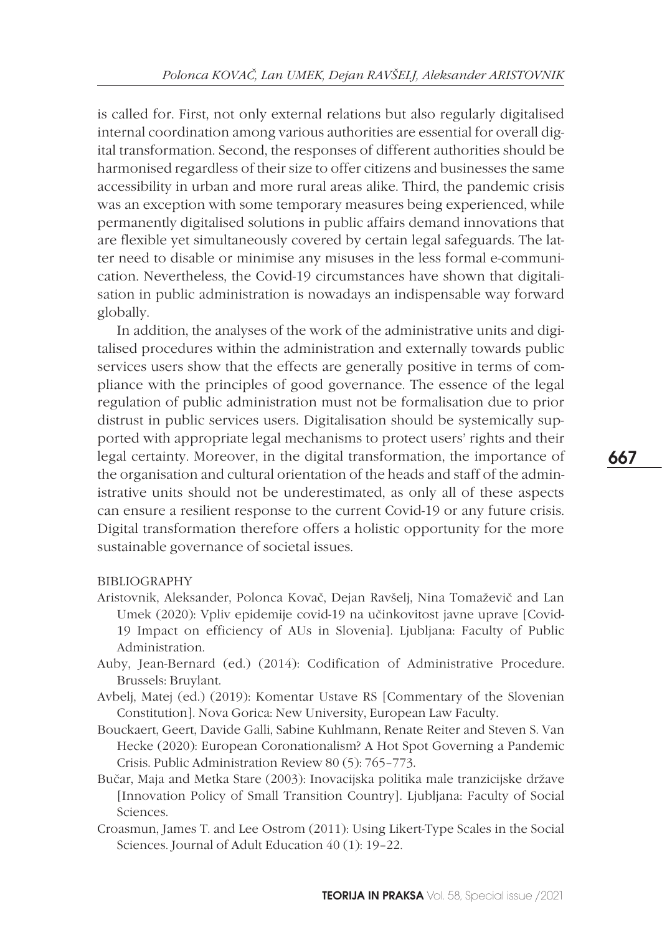is called for. First, not only external relations but also regularly digitalised internal coordination among various authorities are essential for overall digital transformation. Second, the responses of different authorities should be harmonised regardless of their size to offer citizens and businesses the same accessibility in urban and more rural areas alike. Third, the pandemic crisis was an exception with some temporary measures being experienced, while permanently digitalised solutions in public affairs demand innovations that are flexible yet simultaneously covered by certain legal safeguards. The latter need to disable or minimise any misuses in the less formal e-communication. Nevertheless, the Covid-19 circumstances have shown that digitalisation in public administration is nowadays an indispensable way forward globally.

In addition, the analyses of the work of the administrative units and digitalised procedures within the administration and externally towards public services users show that the effects are generally positive in terms of compliance with the principles of good governance. The essence of the legal regulation of public administration must not be formalisation due to prior distrust in public services users. Digitalisation should be systemically supported with appropriate legal mechanisms to protect users' rights and their legal certainty. Moreover, in the digital transformation, the importance of the organisation and cultural orientation of the heads and staff of the administrative units should not be underestimated, as only all of these aspects can ensure a resilient response to the current Covid-19 or any future crisis. Digital transformation therefore offers a holistic opportunity for the more sustainable governance of societal issues.

### BIBLIOGRAPHY

- Aristovnik, Aleksander, Polonca Kovač, Dejan Ravšelj, Nina Tomaževič and Lan Umek (2020): Vpliv epidemije covid-19 na učinkovitost javne uprave [Covid-19 Impact on efficiency of AUs in Slovenia]. Ljubljana: Faculty of Public Administration.
- Auby, Jean-Bernard (ed.) (2014): Codification of Administrative Procedure. Brussels: Bruylant.
- Avbelj, Matej (ed.) (2019): Komentar Ustave RS [Commentary of the Slovenian Constitution]. Nova Gorica: New University, European Law Faculty.
- Bouckaert, Geert, Davide Galli, Sabine Kuhlmann, Renate Reiter and Steven S. Van Hecke (2020): European Coronationalism? A Hot Spot Governing a Pandemic Crisis. Public Administration Review 80 (5): 765–773.
- Bučar, Maja and Metka Stare (2003): Inovacijska politika male tranzicijske države [Innovation Policy of Small Transition Country]. Ljubljana: Faculty of Social Sciences.
- Croasmun, James T. and Lee Ostrom (2011): Using Likert-Type Scales in the Social Sciences. Journal of Adult Education 40 (1): 19–22.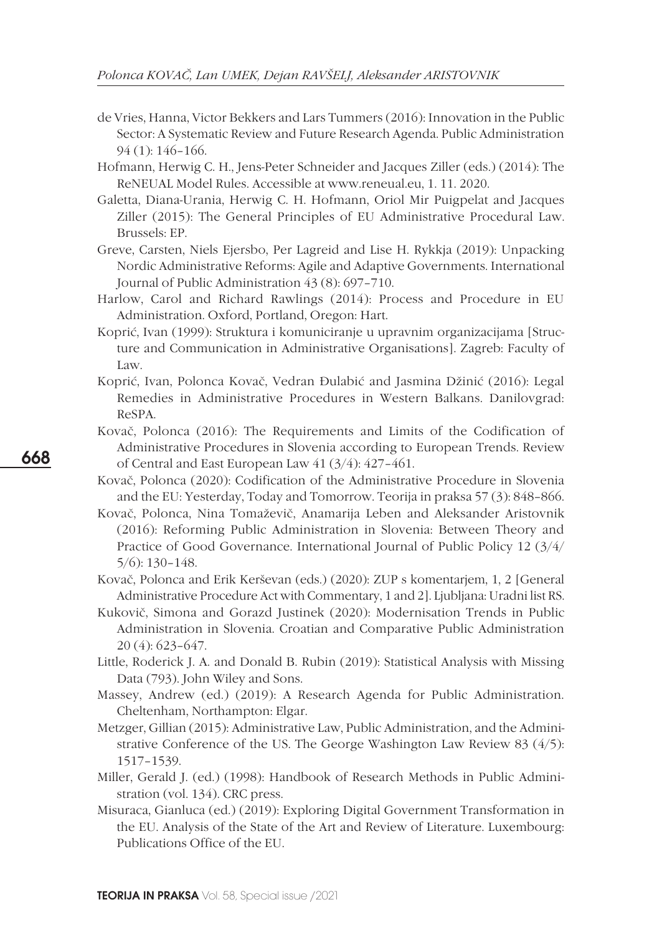- de Vries, Hanna, Victor Bekkers and Lars Tummers (2016): Innovation in the Public Sector: A Systematic Review and Future Research Agenda. Public Administration 94 (1): 146–166.
- Hofmann, Herwig C. H., Jens-Peter Schneider and Jacques Ziller (eds.) (2014): The ReNEUAL Model Rules. Accessible at www.reneual.eu, 1. 11. 2020.
- Galetta, Diana-Urania, Herwig C. H. Hofmann, Oriol Mir Puigpelat and Jacques Ziller (2015): The General Principles of EU Administrative Procedural Law. Brussels: EP.
- Greve, Carsten, Niels Ejersbo, Per Lagreid and Lise H. Rykkja (2019): Unpacking Nordic Administrative Reforms: Agile and Adaptive Governments. International Journal of Public Administration 43 (8): 697–710.
- Harlow, Carol and Richard Rawlings (2014): Process and Procedure in EU Administration. Oxford, Portland, Oregon: Hart.
- Koprić, Ivan (1999): Struktura i komuniciranje u upravnim organizacijama [Structure and Communication in Administrative Organisations]. Zagreb: Faculty of Law.
- Koprić, Ivan, Polonca Kovač, Vedran Đulabić and Jasmina Džinić (2016): Legal Remedies in Administrative Procedures in Western Balkans. Danilovgrad: ReSPA.
- Kovač, Polonca (2016): The Requirements and Limits of the Codification of Administrative Procedures in Slovenia according to European Trends. Review of Central and East European Law 41 (3/4): 427–461.
- Kovač, Polonca (2020): Codification of the Administrative Procedure in Slovenia and the EU: Yesterday, Today and Tomorrow. Teorija in praksa 57 (3): 848–866.
- Kovač, Polonca, Nina Tomaževič, Anamarija Leben and Aleksander Aristovnik (2016): Reforming Public Administration in Slovenia: Between Theory and Practice of Good Governance. International Journal of Public Policy 12 (3/4/ 5/6): 130–148.
- Kovač, Polonca and Erik Kerševan (eds.) (2020): ZUP s komentarjem, 1, 2 [General Administrative Procedure Act with Commentary, 1 and 2]. Ljubljana: Uradni list RS.
- Kukovič, Simona and Gorazd Justinek (2020): Modernisation Trends in Public Administration in Slovenia. Croatian and Comparative Public Administration 20 (4): 623–647.
- Little, Roderick J. A. and Donald B. Rubin (2019): Statistical Analysis with Missing Data (793). John Wiley and Sons.
- Massey, Andrew (ed.) (2019): A Research Agenda for Public Administration. Cheltenham, Northampton: Elgar.
- Metzger, Gillian (2015): Administrative Law, Public Administration, and the Administrative Conference of the US. The George Washington Law Review 83 (4/5): 1517–1539.
- Miller, Gerald J. (ed.) (1998): Handbook of Research Methods in Public Administration (vol. 134). CRC press.
- Misuraca, Gianluca (ed.) (2019): Exploring Digital Government Transformation in the EU. Analysis of the State of the Art and Review of Literature. Luxembourg: Publications Office of the EU.